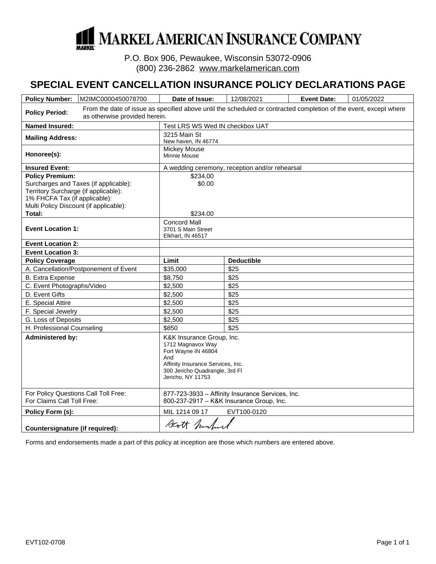

P.O. Box 906, Pewaukee, Wisconsin 53072-0906 (800) 236-2862 www.markelamerican.com

# **SPECIAL EVENT CANCELLATION INSURANCE POLICY DECLARATIONS PAGE**

| <b>Policy Number:</b>                                                                                                                                                              | M2IMC0000450078700                                                                                                                                 | Date of Issue:                                                                                                                                                           | 12/08/2021        | <b>Event Date:</b> | 01/05/2022 |
|------------------------------------------------------------------------------------------------------------------------------------------------------------------------------------|----------------------------------------------------------------------------------------------------------------------------------------------------|--------------------------------------------------------------------------------------------------------------------------------------------------------------------------|-------------------|--------------------|------------|
| <b>Policy Period:</b>                                                                                                                                                              | From the date of issue as specified above until the scheduled or contracted completion of the event, except where<br>as otherwise provided herein. |                                                                                                                                                                          |                   |                    |            |
| <b>Named Insured:</b>                                                                                                                                                              |                                                                                                                                                    | Test LRS WS Wed IN checkbox UAT                                                                                                                                          |                   |                    |            |
| <b>Mailing Address:</b>                                                                                                                                                            |                                                                                                                                                    | 3215 Main St<br>New haven, IN 46774                                                                                                                                      |                   |                    |            |
| Honoree(s):                                                                                                                                                                        |                                                                                                                                                    | Mickey Mouse<br><b>Minnie Mouse</b>                                                                                                                                      |                   |                    |            |
| <b>Insured Event:</b>                                                                                                                                                              |                                                                                                                                                    | A wedding ceremony, reception and/or rehearsal                                                                                                                           |                   |                    |            |
| <b>Policy Premium:</b><br>Surcharges and Taxes (if applicable):<br>Territory Surcharge (if applicable):<br>1% FHCFA Tax (if applicable):<br>Multi Policy Discount (if applicable): |                                                                                                                                                    | \$234.00<br>\$0.00                                                                                                                                                       |                   |                    |            |
| Total:                                                                                                                                                                             |                                                                                                                                                    | \$234.00<br><b>Concord Mall</b>                                                                                                                                          |                   |                    |            |
| <b>Event Location 1:</b>                                                                                                                                                           |                                                                                                                                                    | 3701 S Main Street<br>Elkhart, IN 46517                                                                                                                                  |                   |                    |            |
| <b>Event Location 2:</b>                                                                                                                                                           |                                                                                                                                                    |                                                                                                                                                                          |                   |                    |            |
| <b>Event Location 3:</b>                                                                                                                                                           |                                                                                                                                                    |                                                                                                                                                                          |                   |                    |            |
| <b>Policy Coverage</b>                                                                                                                                                             |                                                                                                                                                    | Limit                                                                                                                                                                    | <b>Deductible</b> |                    |            |
|                                                                                                                                                                                    | A. Cancellation/Postponement of Event                                                                                                              | \$35,000                                                                                                                                                                 | \$25              |                    |            |
| <b>B.</b> Extra Expense                                                                                                                                                            |                                                                                                                                                    | \$8,750                                                                                                                                                                  | \$25              |                    |            |
| C. Event Photographs/Video                                                                                                                                                         |                                                                                                                                                    | \$2,500                                                                                                                                                                  | \$25              |                    |            |
| D. Event Gifts                                                                                                                                                                     |                                                                                                                                                    | \$2,500                                                                                                                                                                  | \$25              |                    |            |
| E. Special Attire                                                                                                                                                                  |                                                                                                                                                    | \$2,500                                                                                                                                                                  | \$25              |                    |            |
| F. Special Jewelry                                                                                                                                                                 |                                                                                                                                                    | \$2,500                                                                                                                                                                  | \$25              |                    |            |
| G. Loss of Deposits                                                                                                                                                                |                                                                                                                                                    | \$2,500                                                                                                                                                                  | \$25              |                    |            |
| H. Professional Counseling                                                                                                                                                         |                                                                                                                                                    | \$850                                                                                                                                                                    | \$25              |                    |            |
| <b>Administered by:</b>                                                                                                                                                            |                                                                                                                                                    | K&K Insurance Group, Inc.<br>1712 Magnavox Way<br>Fort Wayne IN 46804<br>And<br>Affinity Insurance Services, Inc.<br>300 Jericho Quadrangle, 3rd Fl<br>Jericho, NY 11753 |                   |                    |            |
| For Policy Questions Call Toll Free:<br>For Claims Call Toll Free:                                                                                                                 |                                                                                                                                                    | 877-723-3933 - Affinity Insurance Services, Inc.<br>800-237-2917 - K&K Insurance Group, Inc.                                                                             |                   |                    |            |
| Policy Form (s):                                                                                                                                                                   |                                                                                                                                                    | MIL 1214 09 17<br>EVT100-0120                                                                                                                                            |                   |                    |            |
| Countersignature (if required):                                                                                                                                                    |                                                                                                                                                    | Statt furture                                                                                                                                                            |                   |                    |            |

Forms and endorsements made a part of this policy at inception are those which numbers are entered above.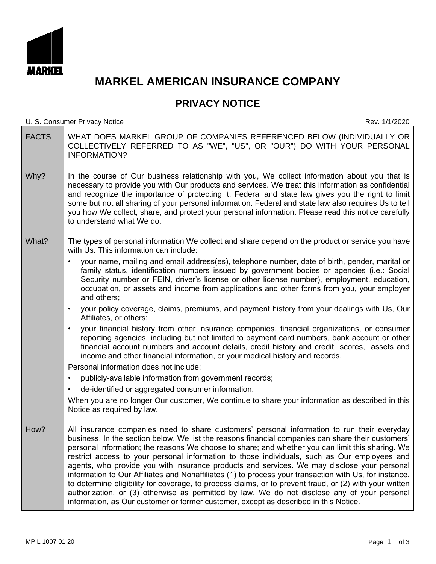

# **MARKEL AMERICAN INSURANCE COMPANY**

# **PRIVACY NOTICE**

U. S. Consumer Privacy Notice Rev. 1/1/2020

| <b>FACTS</b> | WHAT DOES MARKEL GROUP OF COMPANIES REFERENCED BELOW (INDIVIDUALLY OR<br>COLLECTIVELY REFERRED TO AS "WE", "US", OR "OUR") DO WITH YOUR PERSONAL<br><b>INFORMATION?</b>                                                                                                                                                                                                                                                                                                                                                                                                                                                                                                                                                                                                                                                                                                                                           |
|--------------|-------------------------------------------------------------------------------------------------------------------------------------------------------------------------------------------------------------------------------------------------------------------------------------------------------------------------------------------------------------------------------------------------------------------------------------------------------------------------------------------------------------------------------------------------------------------------------------------------------------------------------------------------------------------------------------------------------------------------------------------------------------------------------------------------------------------------------------------------------------------------------------------------------------------|
| Why?         | In the course of Our business relationship with you, We collect information about you that is<br>necessary to provide you with Our products and services. We treat this information as confidential<br>and recognize the importance of protecting it. Federal and state law gives you the right to limit<br>some but not all sharing of your personal information. Federal and state law also requires Us to tell<br>you how We collect, share, and protect your personal information. Please read this notice carefully<br>to understand what We do.                                                                                                                                                                                                                                                                                                                                                             |
| What?        | The types of personal information We collect and share depend on the product or service you have<br>with Us. This information can include:                                                                                                                                                                                                                                                                                                                                                                                                                                                                                                                                                                                                                                                                                                                                                                        |
|              | your name, mailing and email address(es), telephone number, date of birth, gender, marital or<br>٠<br>family status, identification numbers issued by government bodies or agencies (i.e.: Social<br>Security number or FEIN, driver's license or other license number), employment, education,<br>occupation, or assets and income from applications and other forms from you, your employer<br>and others;                                                                                                                                                                                                                                                                                                                                                                                                                                                                                                      |
|              | your policy coverage, claims, premiums, and payment history from your dealings with Us, Our<br>$\bullet$<br>Affiliates, or others;                                                                                                                                                                                                                                                                                                                                                                                                                                                                                                                                                                                                                                                                                                                                                                                |
|              | your financial history from other insurance companies, financial organizations, or consumer<br>$\bullet$<br>reporting agencies, including but not limited to payment card numbers, bank account or other<br>financial account numbers and account details, credit history and credit scores, assets and<br>income and other financial information, or your medical history and records.<br>Personal information does not include:                                                                                                                                                                                                                                                                                                                                                                                                                                                                                 |
|              | publicly-available information from government records;<br>٠                                                                                                                                                                                                                                                                                                                                                                                                                                                                                                                                                                                                                                                                                                                                                                                                                                                      |
|              | de-identified or aggregated consumer information.<br>٠                                                                                                                                                                                                                                                                                                                                                                                                                                                                                                                                                                                                                                                                                                                                                                                                                                                            |
|              | When you are no longer Our customer, We continue to share your information as described in this<br>Notice as required by law.                                                                                                                                                                                                                                                                                                                                                                                                                                                                                                                                                                                                                                                                                                                                                                                     |
| How?         | All insurance companies need to share customers' personal information to run their everyday<br>business. In the section below, We list the reasons financial companies can share their customers'<br>personal information; the reasons We choose to share; and whether you can limit this sharing. We<br>restrict access to your personal information to those individuals, such as Our employees and<br>agents, who provide you with insurance products and services. We may disclose your personal<br>information to Our Affiliates and Nonaffiliates (1) to process your transaction with Us, for instance,<br>to determine eligibility for coverage, to process claims, or to prevent fraud, or (2) with your written<br>authorization, or (3) otherwise as permitted by law. We do not disclose any of your personal<br>information, as Our customer or former customer, except as described in this Notice. |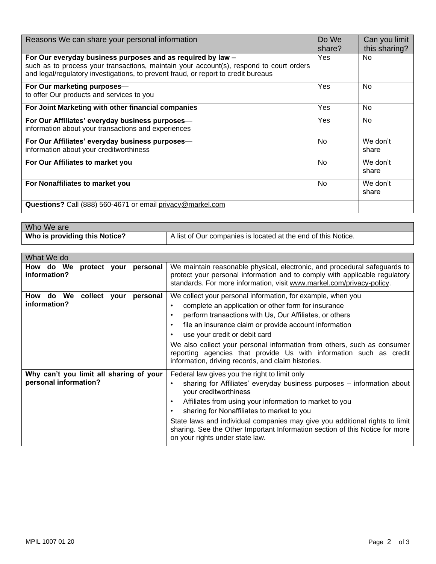| Reasons We can share your personal information                                                                                                                                | Do We<br>share? | Can you limit<br>this sharing? |
|-------------------------------------------------------------------------------------------------------------------------------------------------------------------------------|-----------------|--------------------------------|
| For Our everyday business purposes and as required by law -                                                                                                                   | Yes             | <b>No</b>                      |
| such as to process your transactions, maintain your account(s), respond to court orders<br>and legal/regulatory investigations, to prevent fraud, or report to credit bureaus |                 |                                |
| For Our marketing purposes-                                                                                                                                                   | Yes             | No                             |
| to offer Our products and services to you                                                                                                                                     |                 |                                |
| For Joint Marketing with other financial companies                                                                                                                            | Yes             | No                             |
| For Our Affiliates' everyday business purposes-                                                                                                                               | Yes             | <b>No</b>                      |
| information about your transactions and experiences                                                                                                                           |                 |                                |
| For Our Affiliates' everyday business purposes-                                                                                                                               | No              | We don't                       |
| information about your creditworthiness                                                                                                                                       |                 | share                          |
| For Our Affiliates to market you                                                                                                                                              | No.             | We don't                       |
|                                                                                                                                                                               |                 | share                          |
| For Nonaffiliates to market you                                                                                                                                               | No              | We don't                       |
|                                                                                                                                                                               |                 | share                          |
| Questions? Call (888) 560-4671 or email privacy@markel.com                                                                                                                    |                 |                                |

| Who We are                           |                                                               |
|--------------------------------------|---------------------------------------------------------------|
| <b>Who is providing this Notice?</b> | A list of Our companies is located at the end of this Notice. |

| What We do                                                       |                                                                                                                                                                                                                                                                                                                                                                                                                                                                                                                     |
|------------------------------------------------------------------|---------------------------------------------------------------------------------------------------------------------------------------------------------------------------------------------------------------------------------------------------------------------------------------------------------------------------------------------------------------------------------------------------------------------------------------------------------------------------------------------------------------------|
| How do We protect your<br>personal<br>information?               | We maintain reasonable physical, electronic, and procedural safeguards to<br>protect your personal information and to comply with applicable regulatory<br>standards. For more information, visit www.markel.com/privacy-policy.                                                                                                                                                                                                                                                                                    |
| do We<br>How<br>collect your<br>personal<br>information?         | We collect your personal information, for example, when you<br>complete an application or other form for insurance<br>$\bullet$<br>perform transactions with Us, Our Affiliates, or others<br>٠<br>file an insurance claim or provide account information<br>$\bullet$<br>use your credit or debit card<br>٠<br>We also collect your personal information from others, such as consumer<br>reporting agencies that provide Us with information such as credit<br>information, driving records, and claim histories. |
| Why can't you limit all sharing of your<br>personal information? | Federal law gives you the right to limit only<br>sharing for Affiliates' everyday business purposes – information about<br>٠<br>your creditworthiness<br>Affiliates from using your information to market to you<br>$\bullet$<br>sharing for Nonaffiliates to market to you<br>$\bullet$<br>State laws and individual companies may give you additional rights to limit<br>sharing. See the Other Important Information section of this Notice for more<br>on your rights under state law.                          |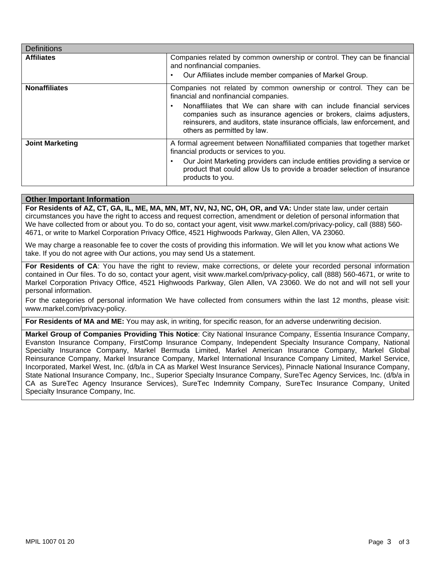| <b>Definitions</b>     |                                                                                                                                                                                                                                                                                                                                                                          |
|------------------------|--------------------------------------------------------------------------------------------------------------------------------------------------------------------------------------------------------------------------------------------------------------------------------------------------------------------------------------------------------------------------|
| <b>Affiliates</b>      | Companies related by common ownership or control. They can be financial<br>and nonfinancial companies.<br>Our Affiliates include member companies of Markel Group.<br>٠                                                                                                                                                                                                  |
| <b>Nonaffiliates</b>   | Companies not related by common ownership or control. They can be<br>financial and nonfinancial companies.<br>Nonaffiliates that We can share with can include financial services<br>٠<br>companies such as insurance agencies or brokers, claims adjusters,<br>reinsurers, and auditors, state insurance officials, law enforcement, and<br>others as permitted by law. |
| <b>Joint Marketing</b> | A formal agreement between Nonaffiliated companies that together market<br>financial products or services to you.<br>Our Joint Marketing providers can include entities providing a service or<br>٠<br>product that could allow Us to provide a broader selection of insurance<br>products to you.                                                                       |

# **Other Important Information**

**For Residents of AZ, CT, GA, IL, ME, MA, MN, MT, NV, NJ, NC, OH, OR, and VA:** Under state law, under certain circumstances you have the right to access and request correction, amendment or deletion of personal information that We have collected from or about you. To do so, contact your agent, visit www.markel.com/privacy-policy, call (888) 560-4671, or write to Markel Corporation Privacy Office, 4521 Highwoods Parkway, Glen Allen, VA 23060.

We may charge a reasonable fee to cover the costs of providing this information. We will let you know what actions We take. If you do not agree with Our actions, you may send Us a statement.

For Residents of CA: You have the right to review, make corrections, or delete your recorded personal information contained in Our files. To do so, contact your agent, visit www.markel.com/privacy-policy, call (888) 560-4671, or write to Markel Corporation Privacy Office, 4521 Highwoods Parkway, Glen Allen, VA 23060. We do not and will not sell your personal information.

For the categories of personal information We have collected from consumers within the last 12 months, please visit: www.markel.com/privacy-policy.

**For Residents of MA and ME:** You may ask, in writing, for specific reason, for an adverse underwriting decision.

**Markel Group of Companies Providing This Notice**: City National Insurance Company, Essentia Insurance Company, Evanston Insurance Company, FirstComp Insurance Company, Independent Specialty Insurance Company, National Specialty Insurance Company, Markel Bermuda Limited, Markel American Insurance Company, Markel Global Reinsurance Company, Markel Insurance Company, Markel International Insurance Company Limited, Markel Service, Incorporated, Markel West, Inc. (d/b/a in CA as Markel West Insurance Services), Pinnacle National Insurance Company, State National Insurance Company, Inc., Superior Specialty Insurance Company, SureTec Agency Services, Inc. (d/b/a in CA as SureTec Agency Insurance Services), SureTec Indemnity Company, SureTec Insurance Company, United Specialty Insurance Company, Inc.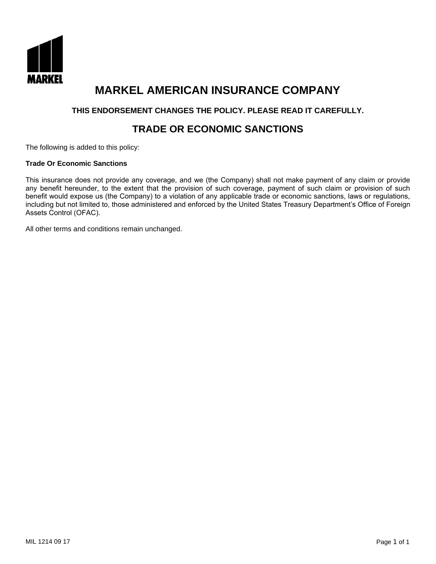

# **MARKEL AMERICAN INSURANCE COMPANY**

# **THIS ENDORSEMENT CHANGES THE POLICY. PLEASE READ IT CAREFULLY.**

# **TRADE OR ECONOMIC SANCTIONS**

The following is added to this policy:

# **Trade Or Economic Sanctions**

This insurance does not provide any coverage, and we (the Company) shall not make payment of any claim or provide any benefit hereunder, to the extent that the provision of such coverage, payment of such claim or provision of such benefit would expose us (the Company) to a violation of any applicable trade or economic sanctions, laws or regulations, including but not limited to, those administered and enforced by the United States Treasury Department's Office of Foreign Assets Control (OFAC).

All other terms and conditions remain unchanged.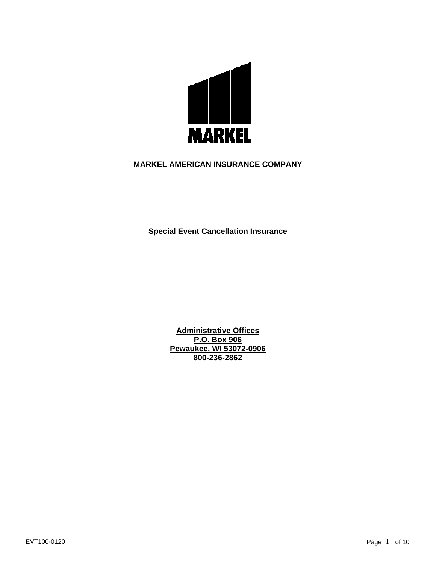

# **MARKEL AMERICAN INSURANCE COMPANY**

**Special Event Cancellation Insurance**

**Administrative Offices P.O. Box 906 Pewaukee, WI 53072-0906 800-236-2862**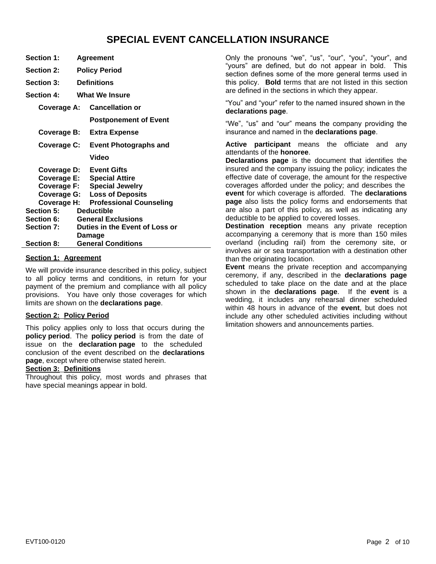# **SPECIAL EVENT CANCELLATION INSURANCE**

| <b>Section 1:</b>    | Agreement                           |
|----------------------|-------------------------------------|
| <b>Section 2:</b>    | <b>Policy Period</b>                |
| <b>Section 3:</b>    | <b>Definitions</b>                  |
| <b>Section 4:</b>    | <b>What We Insure</b>               |
| Coverage A:          | <b>Cancellation or</b>              |
|                      | <b>Postponement of Event</b>        |
| Coverage B:          | <b>Extra Expense</b>                |
| Coverage C:          | Event Photographs and               |
|                      | Video                               |
| Coverage D:          | <b>Event Gifts</b>                  |
|                      | <b>Coverage E: Special Attire</b>   |
|                      | Coverage F: Special Jewelry         |
|                      | <b>Coverage G: Loss of Deposits</b> |
| Coverage H:          | <b>Professional Counseling</b>      |
| <b>Section 5:</b>    | <b>Deductible</b>                   |
| <b>Section 6:</b>    | <b>General Exclusions</b>           |
| <b>Section 7:</b>    | Duties in the Event of Loss or      |
|                      | Damage                              |
| <b>Section 8:</b>    | <b>General Conditions</b>           |
| Caalian 1. Anraamant |                                     |

#### **Section 1: Agreement**

We will provide insurance described in this policy, subject to all policy terms and conditions, in return for your payment of the premium and compliance with all policy provisions. You have only those coverages for which limits are shown on the **declarations page**.

# **Section 2: Policy Period**

This policy applies only to loss that occurs during the **policy period**. The **policy period** is from the date of issue on the **declaration page** to the scheduled conclusion of the event described on the **declarations page**, except where otherwise stated herein.

## **Section 3: Definitions**

Throughout this policy, most words and phrases that have special meanings appear in bold.

Only the pronouns "we", "us", "our", "you", "your", and "yours" are defined, but do not appear in bold. This section defines some of the more general terms used in this policy. **Bold** terms that are not listed in this section are defined in the sections in which they appear.

"You" and "your" refer to the named insured shown in the **declarations page**.

"We", "us" and "our" means the company providing the insurance and named in the **declarations page**.

**Active participant** means the officiate and any attendants of the **honoree**.

**Declarations page** is the document that identifies the insured and the company issuing the policy; indicates the effective date of coverage, the amount for the respective coverages afforded under the policy; and describes the **event** for which coverage is afforded. The **declarations page** also lists the policy forms and endorsements that are also a part of this policy, as well as indicating any deductible to be applied to covered losses.

**Destination reception** means any private reception accompanying a ceremony that is more than 150 miles overland (including rail) from the ceremony site, or involves air or sea transportation with a destination other than the originating location.

**Event** means the private reception and accompanying ceremony, if any, described in the **declarations page** scheduled to take place on the date and at the place shown in the **declarations page**. If the **event** is a wedding, it includes any rehearsal dinner scheduled within 48 hours in advance of the **event**, but does not include any other scheduled activities including without limitation showers and announcements parties.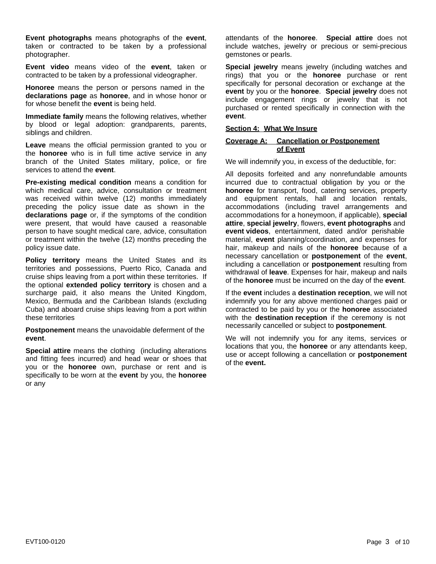**Event photographs** means photographs of the **event**, taken or contracted to be taken by a professional photographer.

**Event video** means video of the **event**, taken or contracted to be taken by a professional videographer.

**Honoree** means the person or persons named in the **declarations page** as **honoree**, and in whose honor or for whose benefit the **event** is being held.

**Immediate family** means the following relatives, whether by blood or legal adoption: grandparents, parents, siblings and children.

**Leave** means the official permission granted to you or the **honoree** who is in full time active service in any branch of the United States military, police, or fire services to attend the **event**.

**Pre-existing medical condition** means a condition for which medical care, advice, consultation or treatment was received within twelve (12) months immediately preceding the policy issue date as shown in the **declarations page** or, if the symptoms of the condition were present, that would have caused a reasonable person to have sought medical care, advice, consultation or treatment within the twelve (12) months preceding the policy issue date.

**Policy territory** means the United States and its territories and possessions, Puerto Rico, Canada and cruise ships leaving from a port within these territories. If the optional **extended policy territory** is chosen and a surcharge paid, it also means the United Kingdom, Mexico, Bermuda and the Caribbean Islands (excluding Cuba) and aboard cruise ships leaving from a port within these territories

**Postponement** means the unavoidable deferment of the **event**.

**Special attire** means the clothing (including alterations and fitting fees incurred) and head wear or shoes that you or the **honoree** own, purchase or rent and is specifically to be worn at the **event** by you, the **honoree** or any

attendants of the **honoree**. **Special attire** does not include watches, jewelry or precious or semi-precious gemstones or pearls.

**Special jewelry** means jewelry (including watches and rings) that you or the **honoree** purchase or rent specifically for personal decoration or exchange at the **event** by you or the **honoree**. **Special jewelry** does not include engagement rings or jewelry that is not purchased or rented specifically in connection with the **event**.

# **Section 4: What We Insure**

#### **Coverage A: Cancellation or Postponement of Event**

We will indemnify you, in excess of the deductible, for:

All deposits forfeited and any nonrefundable amounts incurred due to contractual obligation by you or the **honoree** for transport, food, catering services, property and equipment rentals, hall and location rentals, accommodations (including travel arrangements and accommodations for a honeymoon, if applicable), **special attire**, **special jewelry**, flowers, **event photographs** and **event videos**, entertainment, dated and/or perishable material, **event** planning/coordination, and expenses for hair, makeup and nails of the **honoree** because of a necessary cancellation or **postponement** of the **event**, including a cancellation or **postponement** resulting from withdrawal of **leave**. Expenses for hair, makeup and nails of the **honoree** must be incurred on the day of the **event**.

If the **event** includes a **destination reception**, we will not indemnify you for any above mentioned charges paid or contracted to be paid by you or the **honoree** associated with the **destination reception** if the ceremony is not necessarily cancelled or subject to **postponement**.

We will not indemnify you for any items, services or locations that you, the **honoree** or any attendants keep, use or accept following a cancellation or **postponement** of the **event.**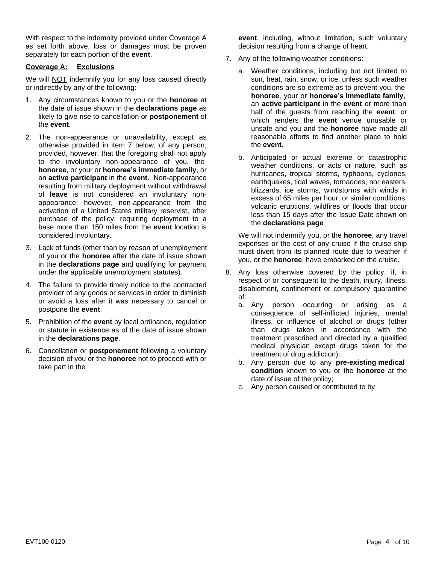With respect to the indemnity provided under Coverage A as set forth above, loss or damages must be proven separately for each portion of the **event**.

# **Coverage A: Exclusions**

We will **NOT** indemnify you for any loss caused directly or indirectly by any of the following:

- 1. Any circumstances known to you or the **honoree** at the date of issue shown in the **declarations page** as likely to give rise to cancellation or **postponement** of the **event**.
- 2. The non-appearance or unavailability, except as otherwise provided in item 7 below, of any person; provided, however, that the foregoing shall not apply to the involuntary non-appearance of you, the **honoree**, or your or **honoree's immediate family**, or an **active participant** in the **event**. Non-appearance resulting from military deployment without withdrawal of **leave** is not considered an involuntary nonappearance; however, non-appearance from the activation of a United States military reservist, after purchase of the policy, requiring deployment to a base more than 150 miles from the **event** location is considered involuntary.
- 3. Lack of funds (other than by reason of unemployment of you or the **honoree** after the date of issue shown in the **declarations page** and qualifying for payment under the applicable unemployment statutes).
- 4. The failure to provide timely notice to the contracted provider of any goods or services in order to diminish or avoid a loss after it was necessary to cancel or postpone the **event**.
- 5. Prohibition of the **event** by local ordinance, regulation or statute in existence as of the date of issue shown in the **declarations page**.
- 6. Cancellation or **postponement** following a voluntary decision of you or the **honoree** not to proceed with or take part in the

**event**, including, without limitation, such voluntary decision resulting from a change of heart.

- 7. Any of the following weather conditions:
	- a. Weather conditions, including but not limited to sun, heat, rain, snow, or ice, unless such weather conditions are so extreme as to prevent you, the **honoree**, your or **honoree's immediate family**, an **active participant** in the **event** or more than half of the guests from reaching the **event**, or which renders the **event** venue unusable or unsafe and you and the **honoree** have made all reasonable efforts to find another place to hold the **event**.
	- b. Anticipated or actual extreme or catastrophic weather conditions, or acts or nature, such as hurricanes, tropical storms, typhoons, cyclones, earthquakes, tidal waves, tornadoes, nor easters, blizzards, ice storms, windstorms with winds in excess of 65 miles per hour, or similar conditions, volcanic eruptions, wildfires or floods that occur less than 15 days after the Issue Date shown on the **declarations page**

We will not indemnify you, or the **honoree**, any travel expenses or the cost of any cruise if the cruise ship must divert from its planned route due to weather if you, or the **honoree**, have embarked on the cruise.

- 8. Any loss otherwise covered by the policy, if, in respect of or consequent to the death, injury, illness, disablement, confinement or compulsory quarantine of:
	- a. Any person occurring or arising as a consequence of self-inflicted injuries, mental illness, or influence of alcohol or drugs (other than drugs taken in accordance with the treatment prescribed and directed by a qualified medical physician except drugs taken for the treatment of drug addiction);
	- b. Any person due to any **pre-existing medical condition** known to you or the **honoree** at the date of issue of the policy;
	- c. Any person caused or contributed to by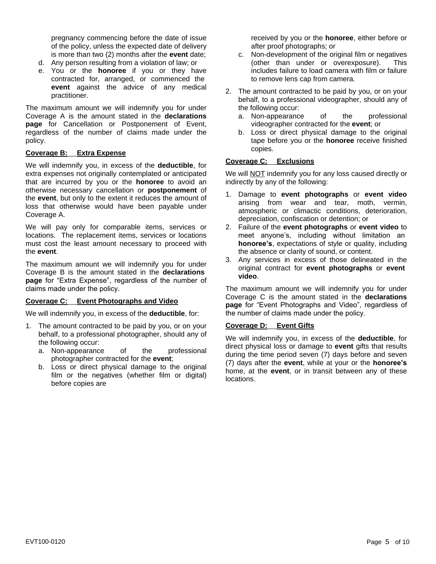pregnancy commencing before the date of issue of the policy, unless the expected date of delivery is more than two (2) months after the **event** date;

- d. Any person resulting from a violation of law; or
- e. You or the **honoree** if you or they have contracted for, arranged, or commenced the **event** against the advice of any medical practitioner.

The maximum amount we will indemnify you for under Coverage A is the amount stated in the **declarations page** for Cancellation or Postponement of Event, regardless of the number of claims made under the policy.

# **Coverage B: Extra Expense**

We will indemnify you, in excess of the **deductible**, for extra expenses not originally contemplated or anticipated that are incurred by you or the **honoree** to avoid an otherwise necessary cancellation or **postponement** of the **event**, but only to the extent it reduces the amount of loss that otherwise would have been payable under Coverage A.

We will pay only for comparable items, services or locations. The replacement items, services or locations must cost the least amount necessary to proceed with the **event**.

The maximum amount we will indemnify you for under Coverage B is the amount stated in the **declarations page** for "Extra Expense", regardless of the number of claims made under the policy.

# **Coverage C: Event Photographs and Video**

We will indemnify you, in excess of the **deductible**, for:

- 1. The amount contracted to be paid by you, or on your behalf, to a professional photographer, should any of the following occur:
	- a. Non-appearance of the professional photographer contracted for the **event**;
	- b. Loss or direct physical damage to the original film or the negatives (whether film or digital) before copies are

received by you or the **honoree**, either before or after proof photographs; or

- c. Non-development of the original film or negatives (other than under or overexposure). This includes failure to load camera with film or failure to remove lens cap from camera.
- 2. The amount contracted to be paid by you, or on your behalf, to a professional videographer, should any of the following occur:
	- a. Non-appearance of the professional videographer contracted for the **event**; or
	- b. Loss or direct physical damage to the original tape before you or the **honoree** receive finished copies.

# **Coverage C: Exclusions**

We will **NOT** indemnify you for any loss caused directly or indirectly by any of the following:

- 1. Damage to **event photographs** or **event video** arising from wear and tear, moth, vermin, atmospheric or climactic conditions, deterioration, depreciation, confiscation or detention; or
- 2. Failure of the **event photographs** or **event video** to meet anyone's, including without limitation an **honoree's**, expectations of style or quality, including the absence or clarity of sound, or content.
- 3. Any services in excess of those delineated in the original contract for **event photographs** or **event video**.

The maximum amount we will indemnify you for under Coverage C is the amount stated in the **declarations page** for "Event Photographs and Video", regardless of the number of claims made under the policy.

## **Coverage D: Event Gifts**

We will indemnify you, in excess of the **deductible**, for direct physical loss or damage to **event** gifts that results during the time period seven (7) days before and seven (7) days after the **event**, while at your or the **honoree's** home, at the **event**, or in transit between any of these locations.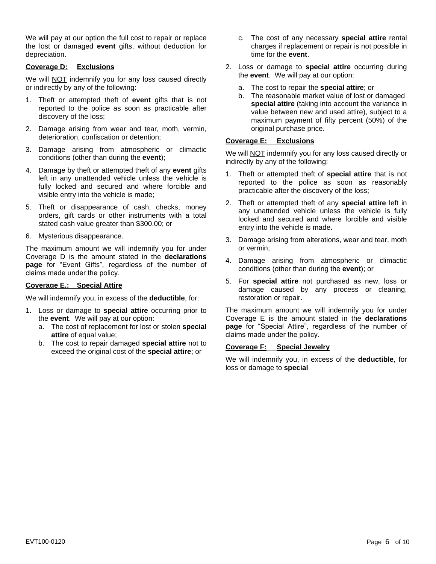We will pay at our option the full cost to repair or replace the lost or damaged **event** gifts, without deduction for depreciation.

# **Coverage D: Exclusions**

We will **NOT** indemnify you for any loss caused directly or indirectly by any of the following:

- 1. Theft or attempted theft of **event** gifts that is not reported to the police as soon as practicable after discovery of the loss;
- 2. Damage arising from wear and tear, moth, vermin, deterioration, confiscation or detention;
- 3. Damage arising from atmospheric or climactic conditions (other than during the **event**);
- 4. Damage by theft or attempted theft of any **event** gifts left in any unattended vehicle unless the vehicle is fully locked and secured and where forcible and visible entry into the vehicle is made;
- 5. Theft or disappearance of cash, checks, money orders, gift cards or other instruments with a total stated cash value greater than \$300.00; or
- 6. Mysterious disappearance.

The maximum amount we will indemnify you for under Coverage D is the amount stated in the **declarations page** for "Event Gifts", regardless of the number of claims made under the policy.

## **Coverage E.: Special Attire**

We will indemnify you, in excess of the **deductible**, for:

- 1. Loss or damage to **special attire** occurring prior to the **event**. We will pay at our option:
	- a. The cost of replacement for lost or stolen **special attire** of equal value;
	- b. The cost to repair damaged **special attire** not to exceed the original cost of the **special attire**; or
- c. The cost of any necessary **special attire** rental charges if replacement or repair is not possible in time for the **event**.
- 2. Loss or damage to **special attire** occurring during the **event**. We will pay at our option:
	- a. The cost to repair the **special attire**; or
	- b. The reasonable market value of lost or damaged **special attire** (taking into account the variance in value between new and used attire), subject to a maximum payment of fifty percent (50%) of the original purchase price.

#### **Coverage E: Exclusions**

We will **NOT** indemnify you for any loss caused directly or indirectly by any of the following:

- 1. Theft or attempted theft of **special attire** that is not reported to the police as soon as reasonably practicable after the discovery of the loss;
- 2. Theft or attempted theft of any **special attire** left in any unattended vehicle unless the vehicle is fully locked and secured and where forcible and visible entry into the vehicle is made.
- 3. Damage arising from alterations, wear and tear, moth or vermin;
- 4. Damage arising from atmospheric or climactic conditions (other than during the **event**); or
- 5. For **special attire** not purchased as new, loss or damage caused by any process or cleaning, restoration or repair.

The maximum amount we will indemnify you for under Coverage E is the amount stated in the **declarations page** for "Special Attire", regardless of the number of claims made under the policy.

## **Coverage F: Special Jewelry**

We will indemnify you, in excess of the **deductible**, for loss or damage to **special**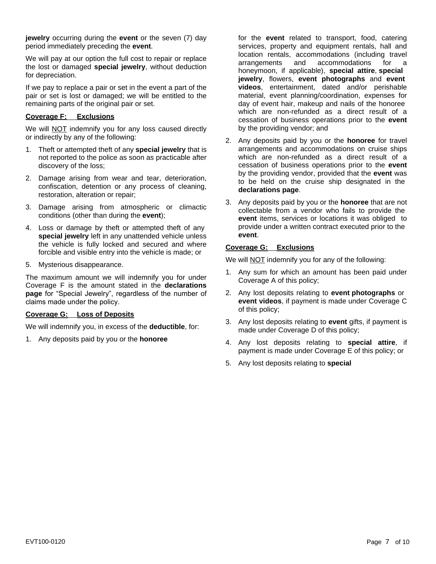**jewelry** occurring during the **event** or the seven (7) day period immediately preceding the **event**.

We will pay at our option the full cost to repair or replace the lost or damaged **special jewelry**, without deduction for depreciation.

If we pay to replace a pair or set in the event a part of the pair or set is lost or damaged; we will be entitled to the remaining parts of the original pair or set.

# **Coverage F: Exclusions**

We will **NOT** indemnify you for any loss caused directly or indirectly by any of the following:

- 1. Theft or attempted theft of any **special jewelry** that is not reported to the police as soon as practicable after discovery of the loss;
- 2. Damage arising from wear and tear, deterioration, confiscation, detention or any process of cleaning, restoration, alteration or repair;
- 3. Damage arising from atmospheric or climactic conditions (other than during the **event**);
- 4. Loss or damage by theft or attempted theft of any **special jewelry** left in any unattended vehicle unless the vehicle is fully locked and secured and where forcible and visible entry into the vehicle is made; or
- 5. Mysterious disappearance.

The maximum amount we will indemnify you for under Coverage F is the amount stated in the **declarations page** for "Special Jewelry", regardless of the number of claims made under the policy.

## **Coverage G: Loss of Deposits**

We will indemnify you, in excess of the **deductible**, for:

1. Any deposits paid by you or the **honoree**

for the **event** related to transport, food, catering services, property and equipment rentals, hall and location rentals, accommodations (including travel arrangements and accommodations for a honeymoon, if applicable), **special attire**, **special jewelry**, flowers, **event photographs** and **event videos**, entertainment, dated and/or perishable material, event planning/coordination, expenses for day of event hair, makeup and nails of the honoree which are non-refunded as a direct result of a cessation of business operations prior to the **event** by the providing vendor; and

- 2. Any deposits paid by you or the **honoree** for travel arrangements and accommodations on cruise ships which are non-refunded as a direct result of a cessation of business operations prior to the **event** by the providing vendor, provided that the **event** was to be held on the cruise ship designated in the **declarations page**.
- 3. Any deposits paid by you or the **honoree** that are not collectable from a vendor who fails to provide the **event** items, services or locations it was obliged to provide under a written contract executed prior to the **event**.

# **Coverage G: Exclusions**

We will NOT indemnify you for any of the following:

- 1. Any sum for which an amount has been paid under Coverage A of this policy;
- 2. Any lost deposits relating to **event photographs** or **event videos**, if payment is made under Coverage C of this policy;
- 3. Any lost deposits relating to **event** gifts, if payment is made under Coverage D of this policy;
- 4. Any lost deposits relating to **special attire**, if payment is made under Coverage E of this policy; or
- 5. Any lost deposits relating to **special**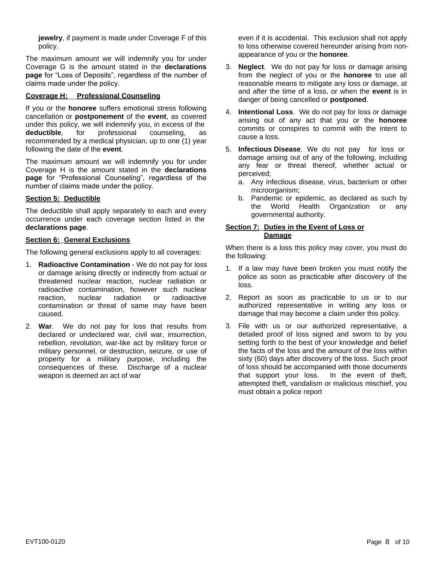**jewelry**, if payment is made under Coverage F of this policy.

The maximum amount we will indemnify you for under Coverage G is the amount stated in the **declarations page** for "Loss of Deposits", regardless of the number of claims made under the policy.

# **Coverage H: Professional Counseling**

If you or the **honoree** suffers emotional stress following cancellation or **postponement** of the **event**, as covered under this policy, we will indemnify you, in excess of the **deductible**, for professional counseling, as recommended by a medical physician, up to one (1) year following the date of the **event**.

The maximum amount we will indemnify you for under Coverage H is the amount stated in the **declarations page** for "Professional Counseling", regardless of the number of claims made under the policy.

# **Section 5: Deductible**

The deductible shall apply separately to each and every occurrence under each coverage section listed in the **declarations page**.

## **Section 6: General Exclusions**

The following general exclusions apply to all coverages:

- 1. **Radioactive Contamination** We do not pay for loss or damage arising directly or indirectly from actual or threatened nuclear reaction, nuclear radiation or radioactive contamination, however such nuclear<br>reaction. nuclear radiation or radioactive nuclear radiation or radioactive contamination or threat of same may have been caused.
- 2. **War**. We do not pay for loss that results from declared or undeclared war, civil war, insurrection, rebellion, revolution, war-like act by military force or military personnel, or destruction, seizure, or use of property for a military purpose, including the consequences of these. Discharge of a nuclear weapon is deemed an act of war

even if it is accidental. This exclusion shall not apply to loss otherwise covered hereunder arising from nonappearance of you or the **honoree**.

- 3. **Neglect**. We do not pay for loss or damage arising from the neglect of you or the **honoree** to use all reasonable means to mitigate any loss or damage, at and after the time of a loss, or when the **event** is in danger of being cancelled or **postponed**.
- 4. **Intentional Loss**. We do not pay for loss or damage arising out of any act that you or the **honoree** commits or conspires to commit with the intent to cause a loss.
- 5. **Infectious Disease**. We do not pay for loss or damage arising out of any of the following, including any fear or threat thereof, whether actual or perceived;
	- a. Any infectious disease, virus, bacterium or other microorganism;
	- b. Pandemic or epidemic, as declared as such by the World Health Organization or any governmental authority.

## **Section 7: Duties in the Event of Loss or Damage**

When there is a loss this policy may cover, you must do the following:

- 1. If a law may have been broken you must notify the police as soon as practicable after discovery of the loss.
- 2. Report as soon as practicable to us or to our authorized representative in writing any loss or damage that may become a claim under this policy.
- 3. File with us or our authorized representative, a detailed proof of loss signed and sworn to by you setting forth to the best of your knowledge and belief the facts of the loss and the amount of the loss within sixty (60) days after discovery of the loss. Such proof of loss should be accompanied with those documents that support your loss. In the event of theft, attempted theft, vandalism or malicious mischief, you must obtain a police report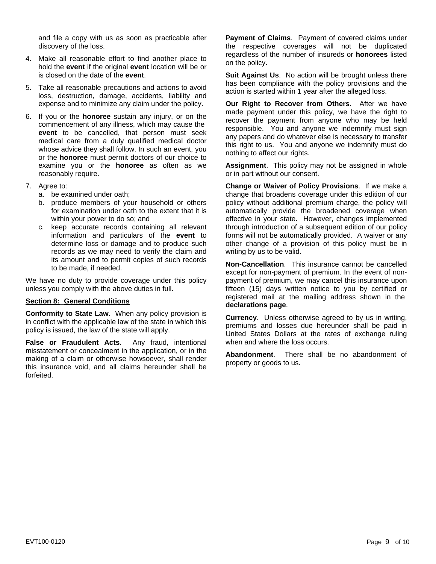and file a copy with us as soon as practicable after discovery of the loss.

- 4. Make all reasonable effort to find another place to hold the **event** if the original **event** location will be or is closed on the date of the **event**.
- 5. Take all reasonable precautions and actions to avoid loss, destruction, damage, accidents, liability and expense and to minimize any claim under the policy.
- 6. If you or the **honoree** sustain any injury, or on the commencement of any illness, which may cause the **event** to be cancelled, that person must seek medical care from a duly qualified medical doctor whose advice they shall follow. In such an event, you or the **honoree** must permit doctors of our choice to examine you or the **honoree** as often as we reasonably require.
- 7. Agree to:
	- a. be examined under oath;
	- b. produce members of your household or others for examination under oath to the extent that it is within your power to do so; and
	- c. keep accurate records containing all relevant information and particulars of the **event** to determine loss or damage and to produce such records as we may need to verify the claim and its amount and to permit copies of such records to be made, if needed.

We have no duty to provide coverage under this policy unless you comply with the above duties in full.

#### **Section 8: General Conditions**

**Conformity to State Law**. When any policy provision is in conflict with the applicable law of the state in which this policy is issued, the law of the state will apply.

**False or Fraudulent Acts**. Any fraud, intentional misstatement or concealment in the application, or in the making of a claim or otherwise howsoever, shall render this insurance void, and all claims hereunder shall be forfeited.

**Payment of Claims**. Payment of covered claims under the respective coverages will not be duplicated regardless of the number of insureds or **honorees** listed on the policy.

**Suit Against Us.** No action will be brought unless there has been compliance with the policy provisions and the action is started within 1 year after the alleged loss.

**Our Right to Recover from Others**. After we have made payment under this policy, we have the right to recover the payment from anyone who may be held responsible. You and anyone we indemnify must sign any papers and do whatever else is necessary to transfer this right to us. You and anyone we indemnify must do nothing to affect our rights.

**Assignment**. This policy may not be assigned in whole or in part without our consent.

**Change or Waiver of Policy Provisions**. If we make a change that broadens coverage under this edition of our policy without additional premium charge, the policy will automatically provide the broadened coverage when effective in your state. However, changes implemented through introduction of a subsequent edition of our policy forms will not be automatically provided. A waiver or any other change of a provision of this policy must be in writing by us to be valid.

**Non-Cancellation**. This insurance cannot be cancelled except for non-payment of premium. In the event of nonpayment of premium, we may cancel this insurance upon fifteen (15) days written notice to you by certified or registered mail at the mailing address shown in the **declarations page**.

**Currency**. Unless otherwise agreed to by us in writing, premiums and losses due hereunder shall be paid in United States Dollars at the rates of exchange ruling when and where the loss occurs.

**Abandonment**. There shall be no abandonment of property or goods to us.